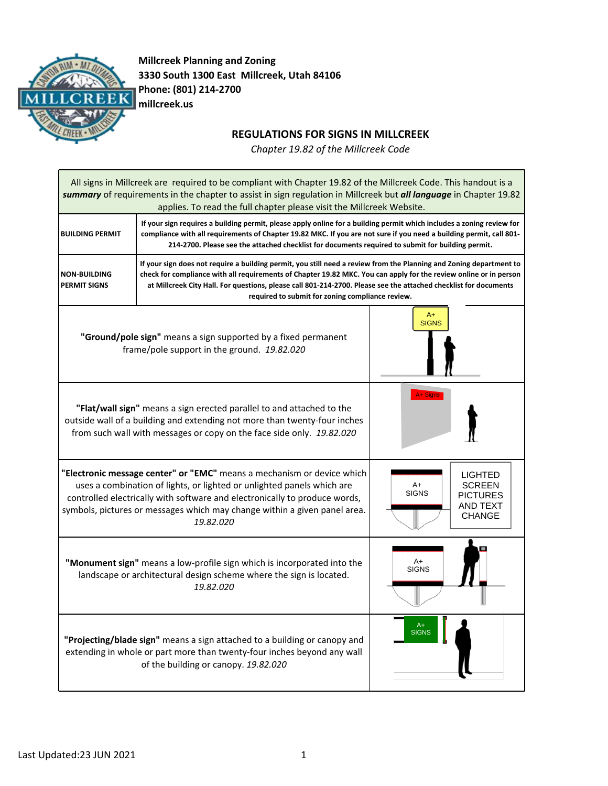

**Millcreek Planning and Zoning 3330 South 1300 East Millcreek, Utah 84106 Phone: (801) 214-2700 millcreek.us**

## **REGULATIONS FOR SIGNS IN MILLCREEK**

*Chapter 19.82 of the Millcreek Code*

All signs in Millcreek are required to be compliant with Chapter 19.82 of the Millcreek Code. This handout is a *summary* of requirements in the chapter to assist in sign regulation in Millcreek but *all language* in Chapter 19.82 applies. To read the full chapter please visit the Millcreek Website. **BUILDING PERMIT** If your sign requires a building permit, please apply online for a building permit which includes a zoning review for compliance with all requirements of Chapter 19.82 MKC. If you are not sure if you need a building permit, call 801-**214-2700. Please see the attached checklist for documents required to submit for building permit. NON-BUILDING PERMIT SIGNS** If your sign does not require a building permit, you still need a review from the Planning and Zoning department to check for compliance with all requirements of Chapter 19.82 MKC. You can apply for the review online or in person **at Millcreek City Hall. For questions, please call 801-214-2700. Please see the attached checklist for documents required to submit for zoning compliance review. "Ground/pole sign"** means a sign supported by a fixed permanent frame/pole support in the ground. *19.82.020* **"Flat/wall sign"** means a sign erected parallel to and attached to the outside wall of a building and extending not more than twenty-four inches from such wall with messages or copy on the face side only. *19.82.020* **"Electronic message center" or "EMC"** means a mechanism or device which uses a combination of lights, or lighted or unlighted panels which are controlled electrically with software and electronically to produce words, symbols, pictures or messages which may change within a given panel area. *19.82.020* **"Monument sign"** means a low-profile sign which is incorporated into the landscape or architectural design scheme where the sign is located. *19.82.020* **"Projecting/blade sign"** means a sign attached to a building or canopy and extending in whole or part more than twenty-four inches beyond any wall of the building or canopy. *19.82.020* A+ SIGNS  $A+$ SIGNS A+ **SIGNS** A+ SIGNS LIGHTED **SCREEN** PICTURES AND TEXT CHANGE A+ Signs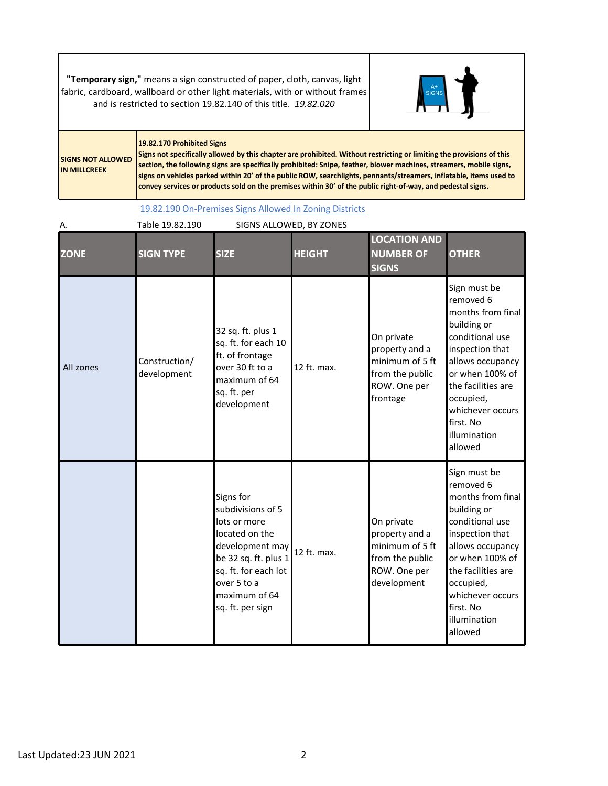## **"Temporary sign,"** means a sign constructed of paper, cloth, canvas, light fabric, cardboard, wallboard or other light materials, with or without frames and is restricted to section 19.82.140 of this title. *19.82.020*



## **19.82.170 Prohibited Signs**

**SIGNS NOT ALLOWED IN MILLCREEK**

Signs not specifically allowed by this chapter are prohibited. Without restricting or limiting the provisions of this **section, the following signs are specifically prohibited: Snipe, feather, blower machines, streamers, mobile signs,** signs on vehicles parked within 20' of the public ROW, searchlights, pennants/streamers, inflatable, items used to convey services or products sold on the premises within 30' of the public right-of-way, and pedestal signs.

19.82.190 [On-Premises](https://millcreek.municipalcodeonline.com/book?type=planzone#name=19.82.190_On-Premises_Signs_Allowed_In_Zoning_Districts) Signs Allowed In Zoning Districts

| Α.          | Table 19.82.190              |                                                                                                                                                                                         | SIGNS ALLOWED, BY ZONES |                                                                                                   |                                                                                                                                                                                                                                           |
|-------------|------------------------------|-----------------------------------------------------------------------------------------------------------------------------------------------------------------------------------------|-------------------------|---------------------------------------------------------------------------------------------------|-------------------------------------------------------------------------------------------------------------------------------------------------------------------------------------------------------------------------------------------|
| <b>ZONE</b> | <b>SIGN TYPE</b>             | <b>SIZE</b>                                                                                                                                                                             | <b>HEIGHT</b>           | <b>LOCATION AND</b><br><b>NUMBER OF</b><br><b>SIGNS</b>                                           | <b>OTHER</b>                                                                                                                                                                                                                              |
| All zones   | Construction/<br>development | 32 sq. ft. plus 1<br>sq. ft. for each 10<br>ft. of frontage<br>over 30 ft to a<br>maximum of 64<br>sq. ft. per<br>development                                                           | 12 ft. max.             | On private<br>property and a<br>minimum of 5 ft<br>from the public<br>ROW. One per<br>frontage    | Sign must be<br>removed 6<br>months from final<br>building or<br>conditional use<br>inspection that<br>allows occupancy<br>or when 100% of<br>the facilities are<br>occupied,<br>whichever occurs<br>first. No<br>illumination<br>allowed |
|             |                              | Signs for<br>subdivisions of 5<br>lots or more<br>located on the<br>development may<br>be 32 sq. ft. plus 1<br>sq. ft. for each lot<br>over 5 to a<br>maximum of 64<br>sq. ft. per sign | 12 ft. max.             | On private<br>property and a<br>minimum of 5 ft<br>from the public<br>ROW. One per<br>development | Sign must be<br>removed 6<br>months from final<br>building or<br>conditional use<br>inspection that<br>allows occupancy<br>or when 100% of<br>the facilities are<br>occupied,<br>whichever occurs<br>first. No<br>illumination<br>allowed |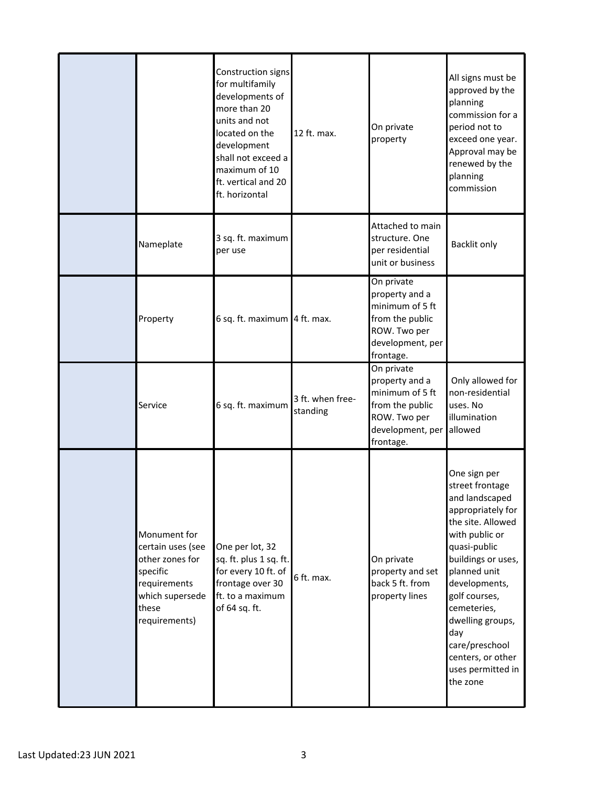|                                                                                                                               | Construction signs<br>for multifamily<br>developments of<br>more than 20<br>units and not<br>located on the<br>development<br>shall not exceed a<br>maximum of 10<br>ft. vertical and 20<br>ft. horizontal | 12 ft. max.                  | On private<br>property                                                                                              | All signs must be<br>approved by the<br>planning<br>commission for a<br>period not to<br>exceed one year.<br>Approval may be<br>renewed by the<br>planning<br>commission                                                                                                                                                |
|-------------------------------------------------------------------------------------------------------------------------------|------------------------------------------------------------------------------------------------------------------------------------------------------------------------------------------------------------|------------------------------|---------------------------------------------------------------------------------------------------------------------|-------------------------------------------------------------------------------------------------------------------------------------------------------------------------------------------------------------------------------------------------------------------------------------------------------------------------|
| Nameplate                                                                                                                     | 3 sq. ft. maximum<br>per use                                                                                                                                                                               |                              | Attached to main<br>structure. One<br>per residential<br>unit or business                                           | <b>Backlit only</b>                                                                                                                                                                                                                                                                                                     |
| Property                                                                                                                      | 6 sq. ft. maximum 4 ft. max.                                                                                                                                                                               |                              | On private<br>property and a<br>minimum of 5 ft<br>from the public<br>ROW. Two per<br>development, per<br>frontage. |                                                                                                                                                                                                                                                                                                                         |
| Service                                                                                                                       | 6 sq. ft. maximum                                                                                                                                                                                          | 3 ft. when free-<br>standing | On private<br>property and a<br>minimum of 5 ft<br>from the public<br>ROW. Two per<br>development, per<br>frontage. | Only allowed for<br>non-residential<br>uses. No<br>illumination<br>allowed                                                                                                                                                                                                                                              |
| Monument for<br>certain uses (see<br>other zones for<br>specific<br>requirements<br>which supersede<br>these<br>requirements) | One per lot, 32<br>sq. ft. plus 1 sq. ft.<br>for every 10 ft. of<br>frontage over 30<br>ft. to a maximum<br>of 64 sq. ft.                                                                                  | 6 ft. max.                   | On private<br>property and set<br>back 5 ft. from<br>property lines                                                 | One sign per<br>street frontage<br>and landscaped<br>appropriately for<br>the site. Allowed<br>with public or<br>quasi-public<br>buildings or uses,<br>planned unit<br>developments,<br>golf courses,<br>cemeteries,<br>dwelling groups,<br>day<br>care/preschool<br>centers, or other<br>uses permitted in<br>the zone |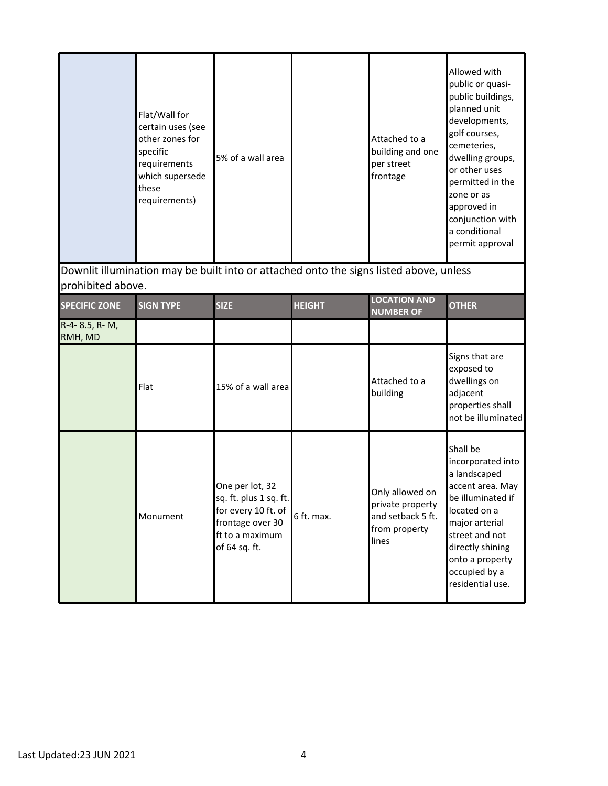|                            | Flat/Wall for<br>certain uses (see<br>other zones for<br>specific<br>requirements<br>which supersede<br>these<br>requirements) | 5% of a wall area                                                                                                        |               | Attached to a<br>building and one<br>per street<br>frontage                        | Allowed with<br>public or quasi-<br>public buildings,<br>planned unit<br>developments,<br>golf courses,<br>cemeteries,<br>dwelling groups,<br>or other uses<br>permitted in the<br>zone or as<br>approved in<br>conjunction with<br>a conditional<br>permit approval |
|----------------------------|--------------------------------------------------------------------------------------------------------------------------------|--------------------------------------------------------------------------------------------------------------------------|---------------|------------------------------------------------------------------------------------|----------------------------------------------------------------------------------------------------------------------------------------------------------------------------------------------------------------------------------------------------------------------|
| prohibited above.          |                                                                                                                                | Downlit illumination may be built into or attached onto the signs listed above, unless                                   |               |                                                                                    |                                                                                                                                                                                                                                                                      |
| <b>SPECIFIC ZONE</b>       | <b>SIGN TYPE</b>                                                                                                               | <b>SIZE</b>                                                                                                              | <b>HEIGHT</b> | <b>LOCATION AND</b><br><b>NUMBER OF</b>                                            | <b>OTHER</b>                                                                                                                                                                                                                                                         |
| $R-4-8.5, R-M,$<br>RMH, MD |                                                                                                                                |                                                                                                                          |               |                                                                                    |                                                                                                                                                                                                                                                                      |
|                            | Flat                                                                                                                           | 15% of a wall area                                                                                                       |               | Attached to a<br>building                                                          | Signs that are<br>exposed to<br>dwellings on<br>adjacent<br>properties shall<br>not be illuminated                                                                                                                                                                   |
|                            | Monument                                                                                                                       | One per lot, 32<br>sq. ft. plus 1 sq. ft.<br>for every 10 ft. of<br>frontage over 30<br>ft to a maximum<br>of 64 sq. ft. | 6 ft. max.    | Only allowed on<br>private property<br>and setback 5 ft.<br>from property<br>lines | Shall be<br>incorporated into<br>a landscaped<br>accent area. May<br>be illuminated if<br>located on a<br>major arterial<br>street and not<br>directly shining<br>onto a property<br>occupied by a<br>residential use.                                               |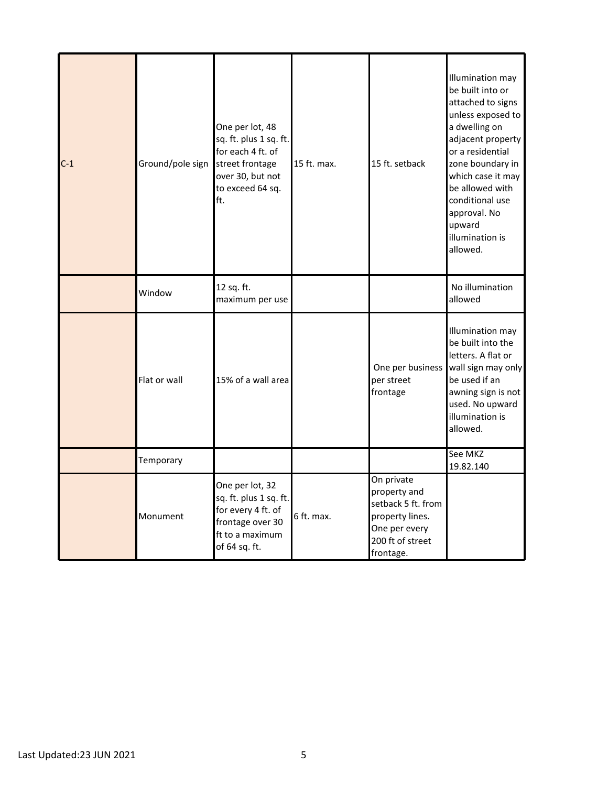| $C-1$ | Ground/pole sign | One per lot, 48<br>sq. ft. plus 1 sq. ft.<br>for each 4 ft. of<br>street frontage<br>over 30, but not<br>to exceed 64 sq.<br>lft. | 15 ft. max. | 15 ft. setback                                                                                                        | Illumination may<br>be built into or<br>attached to signs<br>unless exposed to<br>a dwelling on<br>adjacent property<br>or a residential<br>zone boundary in<br>which case it may<br>be allowed with<br>conditional use<br>approval. No<br>upward<br>illumination is<br>allowed. |
|-------|------------------|-----------------------------------------------------------------------------------------------------------------------------------|-------------|-----------------------------------------------------------------------------------------------------------------------|----------------------------------------------------------------------------------------------------------------------------------------------------------------------------------------------------------------------------------------------------------------------------------|
|       | Window           | 12 sq. ft.<br>maximum per use                                                                                                     |             |                                                                                                                       | No illumination<br>allowed                                                                                                                                                                                                                                                       |
|       | Flat or wall     | 15% of a wall area                                                                                                                |             | One per business<br>per street<br>frontage                                                                            | Illumination may<br>be built into the<br>letters. A flat or<br>wall sign may only<br>be used if an<br>awning sign is not<br>used. No upward<br>illumination is<br>allowed.                                                                                                       |
|       | Temporary        |                                                                                                                                   |             |                                                                                                                       | See MKZ<br>19.82.140                                                                                                                                                                                                                                                             |
|       | Monument         | One per lot, 32<br>sq. ft. plus 1 sq. ft.<br>for every 4 ft. of<br>frontage over 30<br>ft to a maximum<br>of 64 sq. ft.           | 6 ft. max.  | On private<br>property and<br>setback 5 ft. from<br>property lines.<br>One per every<br>200 ft of street<br>frontage. |                                                                                                                                                                                                                                                                                  |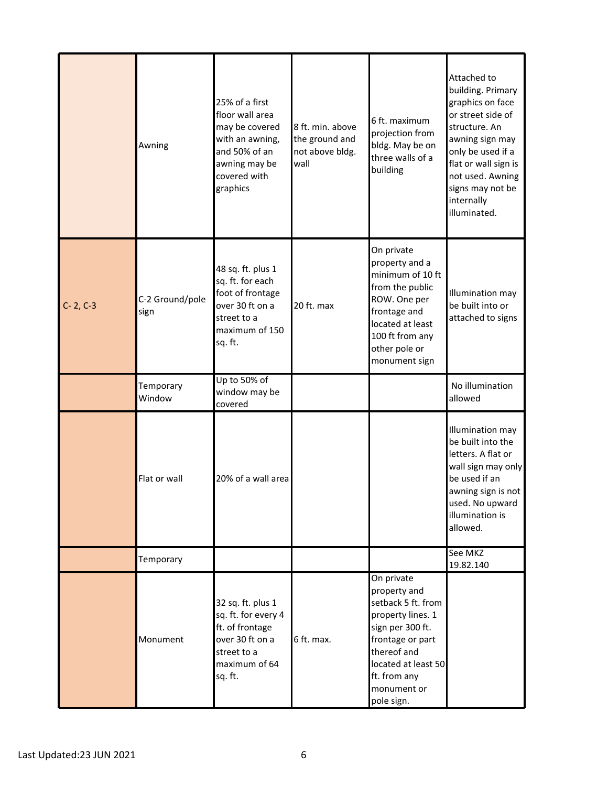|            | Awning                  | 25% of a first<br>floor wall area<br>may be covered<br>with an awning,<br>and 50% of an<br>awning may be<br>covered with<br>graphics | 8 ft. min. above<br>the ground and<br>not above bldg.<br>wall | 6 ft. maximum<br>projection from<br>bldg. May be on<br>three walls of a<br>building                                                                                                              | Attached to<br>building. Primary<br>graphics on face<br>or street side of<br>structure. An<br>awning sign may<br>only be used if a<br>flat or wall sign is<br>not used. Awning<br>signs may not be<br>internally<br>illuminated. |
|------------|-------------------------|--------------------------------------------------------------------------------------------------------------------------------------|---------------------------------------------------------------|--------------------------------------------------------------------------------------------------------------------------------------------------------------------------------------------------|----------------------------------------------------------------------------------------------------------------------------------------------------------------------------------------------------------------------------------|
| $C-2, C-3$ | C-2 Ground/pole<br>sign | 48 sq. ft. plus 1<br>sq. ft. for each<br>foot of frontage<br>over 30 ft on a<br>street to a<br>maximum of 150<br>sq. ft.             | 20 ft. max                                                    | On private<br>property and a<br>minimum of 10 ft<br>from the public<br>ROW. One per<br>frontage and<br>located at least<br>100 ft from any<br>other pole or<br>monument sign                     | Illumination may<br>be built into or<br>attached to signs                                                                                                                                                                        |
|            | Temporary<br>Window     | Up to 50% of<br>window may be<br>covered                                                                                             |                                                               |                                                                                                                                                                                                  | No illumination<br>allowed                                                                                                                                                                                                       |
|            | Flat or wall            | 20% of a wall area                                                                                                                   |                                                               |                                                                                                                                                                                                  | Illumination may<br>be built into the<br>letters. A flat or<br>wall sign may only<br>be used if an<br>awning sign is not<br>used. No upward<br>illumination is<br>allowed.                                                       |
|            | Temporary               |                                                                                                                                      |                                                               |                                                                                                                                                                                                  | See MKZ<br>19.82.140                                                                                                                                                                                                             |
|            | Monument                | 32 sq. ft. plus 1<br>sq. ft. for every 4<br>ft. of frontage<br>over 30 ft on a<br>street to a<br>maximum of 64<br>sq. ft.            | 6 ft. max.                                                    | On private<br>property and<br>setback 5 ft. from<br>property lines. 1<br>sign per 300 ft.<br>frontage or part<br>thereof and<br>located at least 50<br>ft. from any<br>monument or<br>pole sign. |                                                                                                                                                                                                                                  |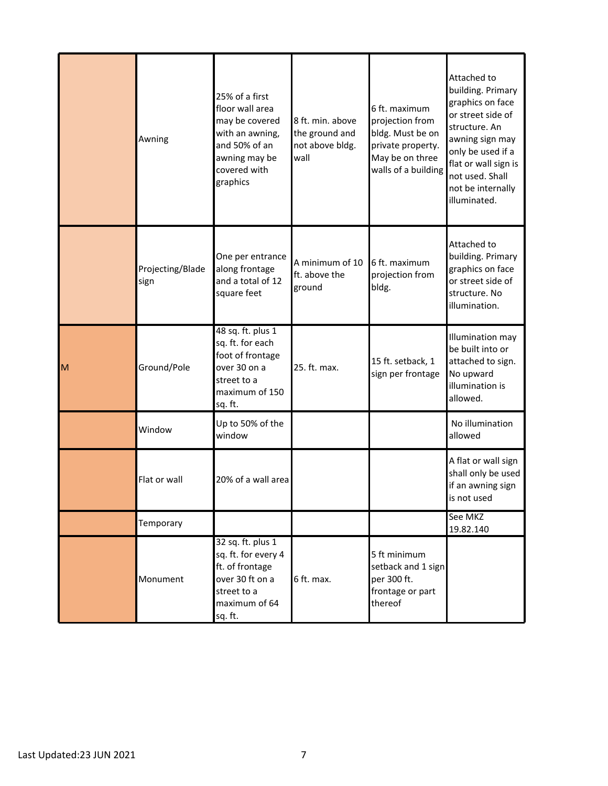|   | Awning                   | 25% of a first<br>floor wall area<br>may be covered<br>with an awning,<br>and 50% of an<br>awning may be<br>covered with<br>graphics | 8 ft. min. above<br>the ground and<br>not above bldg.<br>wall | 6 ft. maximum<br>projection from<br>bldg. Must be on<br>private property.<br>May be on three<br>walls of a building | Attached to<br>building. Primary<br>graphics on face<br>or street side of<br>structure. An<br>awning sign may<br>only be used if a<br>flat or wall sign is<br>not used. Shall<br>not be internally<br>illuminated. |
|---|--------------------------|--------------------------------------------------------------------------------------------------------------------------------------|---------------------------------------------------------------|---------------------------------------------------------------------------------------------------------------------|--------------------------------------------------------------------------------------------------------------------------------------------------------------------------------------------------------------------|
|   | Projecting/Blade<br>sign | One per entrance<br>along frontage<br>and a total of 12<br>square feet                                                               | A minimum of 10<br>ft. above the<br>ground                    | 6 ft. maximum<br>projection from<br>bldg.                                                                           | Attached to<br>building. Primary<br>graphics on face<br>or street side of<br>structure. No<br>illumination.                                                                                                        |
| M | Ground/Pole              | 48 sq. ft. plus 1<br>sq. ft. for each<br>foot of frontage<br>over 30 on a<br>street to a<br>maximum of 150<br>sq. ft.                | 25. ft. max.                                                  | 15 ft. setback, 1<br>sign per frontage                                                                              | Illumination may<br>be built into or<br>attached to sign.<br>No upward<br>illumination is<br>allowed.                                                                                                              |
|   | Window                   | Up to 50% of the<br>window                                                                                                           |                                                               |                                                                                                                     | No illumination<br>allowed                                                                                                                                                                                         |
|   | Flat or wall             | 20% of a wall area                                                                                                                   |                                                               |                                                                                                                     | A flat or wall sign<br>shall only be used<br>if an awning sign<br>is not used                                                                                                                                      |
|   | Temporary                |                                                                                                                                      |                                                               |                                                                                                                     | See MKZ<br>19.82.140                                                                                                                                                                                               |
|   | Monument                 | 32 sq. ft. plus 1<br>sq. ft. for every 4<br>ft. of frontage<br>over 30 ft on a<br>street to a<br>maximum of 64<br>sq. ft.            | 6 ft. max.                                                    | 5 ft minimum<br>setback and 1 sign<br>per 300 ft.<br>frontage or part<br>thereof                                    |                                                                                                                                                                                                                    |